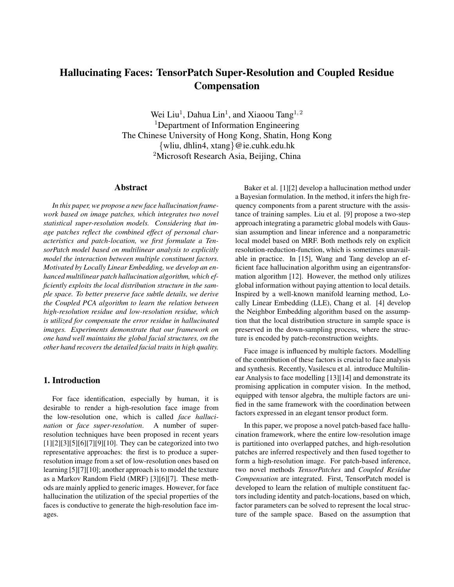# **Hallucinating Faces: TensorPatch Super-Resolution and Coupled Residue Compensation**

Wei Liu<sup>1</sup>, Dahua Lin<sup>1</sup>, and Xiaoou Tang<sup>1, 2</sup> <sup>1</sup>Department of Information Engineering The Chinese University of Hong Kong, Shatin, Hong Kong {wliu, dhlin4, xtang}@ie.cuhk.edu.hk <sup>2</sup>Microsoft Research Asia, Beijing, China

#### **Abstract**

*In this paper, we propose a new face hallucination framework based on image patches, which integrates two novel statistical super-resolution models. Considering that image patches reflect the combined effect of personal characteristics and patch-location, we first formulate a TensorPatch model based on multilinear analysis to explicitly model the interaction between multiple constituent factors. Motivated by Locally Linear Embedding, we develop an enhanced multilinear patch hallucination algorithm, which efficiently exploits the local distribution structure in the sample space. To better preserve face subtle details, we derive the Coupled PCA algorithm to learn the relation between high-resolution residue and low-resolution residue, which is utilized for compensate the error residue in hallucinated images. Experiments demonstrate that our framework on one hand well maintains the global facial structures, on the other hand recovers the detailed facial traits in high quality.*

# **1. Introduction**

For face identification, especially by human, it is desirable to render a high-resolution face image from the low-resolution one, which is called *face hallucination* or *face super-resolution*. A number of superresolution techniques have been proposed in recent years  $[1][2][3][5][6][7][9][10]$ . They can be categorized into two representative approaches: the first is to produce a superresolution image from a set of low-resolution ones based on learning [5][7][10]; another approach is to model the texture as a Markov Random Field (MRF) [3][6][7]. These methods are mainly applied to generic images. However, for face hallucination the utilization of the special properties of the faces is conductive to generate the high-resolution face images.

Baker et al. [1][2] develop a hallucination method under a Bayesian formulation. In the method, it infers the high frequency components from a parent structure with the assistance of training samples. Liu et al. [9] propose a two-step approach integrating a parametric global models with Gaussian assumption and linear inference and a nonparametric local model based on MRF. Both methods rely on explicit resolution-reduction-function, which is sometimes unavailable in practice. In [15], Wang and Tang develop an efficient face hallucination algorithm using an eigentransformation algorithm [12]. However, the method only utilizes global information without paying attention to local details. Inspired by a well-known manifold learning method, Locally Linear Embedding (LLE), Chang et al. [4] develop the Neighbor Embedding algorithm based on the assumption that the local distribution structure in sample space is preserved in the down-sampling process, where the structure is encoded by patch-reconstruction weights.

Face image is influenced by multiple factors. Modelling of the contribution of these factors is crucial to face analysis and synthesis. Recently, Vasilescu et al. introduce Multilinear Analysis to face modelling [13][14] and demonstrate its promising application in computer vision. In the method, equipped with tensor algebra, the multiple factors are unified in the same framework with the coordination between factors expressed in an elegant tensor product form.

In this paper, we propose a novel patch-based face hallucination framework, where the entire low-resolution image is partitioned into overlapped patches, and high-resolution patches are inferred respectively and then fused together to form a high-resolution image. For patch-based inference, two novel methods *TensorPatches* and *Coupled Residue Compensation* are integrated. First, TensorPatch model is developed to learn the relation of multiple constituent factors including identity and patch-locations, based on which, factor parameters can be solved to represent the local structure of the sample space. Based on the assumption that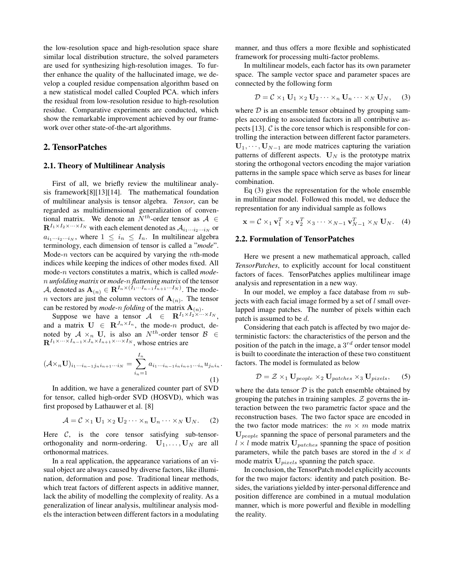the low-resolution space and high-resolution space share similar local distribution structure, the solved parameters are used for synthesizing high-resolution images. To further enhance the quality of the hallucinated image, we develop a coupled residue compensation algorithm based on a new statistical model called Coupled PCA. which infers the residual from low-resolution residue to high-resolution residue. Comparative experiments are conducted, which show the remarkable improvement achieved by our framework over other state-of-the-art algorithms.

# **2. TensorPatches**

#### **2.1. Theory of Multilinear Analysis**

First of all, we briefly review the multilinear analysis framework[8][13][14]. The mathematical foundation of multilinear analysis is tensor algebra. *Tensor*, can be regarded as multidimensional generalization of conventional matrix. We denote an  $N^{th}$ -order tensor as  $A \in$  $\mathbf{R}^{I_1 \times I_2 \times \cdots \times I_N}$  with each element denoted as  $\mathcal{A}_{i_1 \cdots i_2 \cdots i_N}$  or  $a_{i_1\cdots i_2\cdots i_N}$ , where  $1 \leq i_n \leq I_n$ . In multilinear algebra terminology, each dimension of tensor is called a "*mode*". Mode-*n* vectors can be acquired by varying the *n*th-mode indices while keeping the indices of other modes fixed. All mode-n vectors constitutes a matrix, which is called *mode*n *unfolding matrix* or *mode-*n *flattening matrix* of the tensor A, denoted as  $\mathbf{A}_{(n)} \in \mathbf{R}^{I_n \times (I_1 \cdots I_{n-1}I_{n+1} \cdots I_N)}$ . The mode*n* vectors are just the column vectors of  $A_{(n)}$ . The tensor can be restored by *mode-n folding* of the matrix  $\mathbf{A}_{(n)}$ .

Suppose we have a tensor  $A \in \mathbf{R}^{I_1 \times I_2 \times \cdots \times I_N}$ , and a matrix  $U \in \mathbb{R}^{J_n \times I_n}$ , the mode-n product, denoted by  $A \times_n U$ , is also an  $N^{th}$ -order tensor  $B \in$  $\mathbf{R}^{I_1 \times \cdots \times I_{n-1} \times J_n \times I_{n+1} \times \cdots \times I_N}$ , whose entries are

$$
(\mathcal{A} \times_n \mathbf{U})_{i_1 \cdots i_{n-1} j_n i_{n+1} \cdots i_N} = \sum_{i_n=1}^{I_n} a_{i_1 \cdots i_{n-1} i_n i_{n+1} \cdots i_n} u_{j_n i_n}.
$$
\n(1)

In addition, we have a generalized counter part of SVD for tensor, called high-order SVD (HOSVD), which was first proposed by Lathauwer et al. [8]

$$
\mathcal{A} = \mathcal{C} \times_1 \mathbf{U}_1 \times_2 \mathbf{U}_2 \cdots \times_n \mathbf{U}_n \cdots \times_N \mathbf{U}_N.
$$
 (2)

Here  $C$ , is the core tensor satisfying sub-tensororthogonality and norm-ordering.  $U_1, \ldots, U_N$  are all orthonormal matrices.

In a real application, the appearance variations of an visual object are always caused by diverse factors, like illumination, deformation and pose. Traditional linear methods, which treat factors of different aspects in additive manner, lack the ability of modelling the complexity of reality. As a generalization of linear analysis, multilinear analysis models the interaction between different factors in a modulating manner, and thus offers a more flexible and sophisticated framework for processing multi-factor problems.

In multilinear models, each factor has its own parameter space. The sample vector space and parameter spaces are connected by the following form

$$
\mathcal{D} = \mathcal{C} \times_1 \mathbf{U}_1 \times_2 \mathbf{U}_2 \cdots \times_n \mathbf{U}_n \cdots \times_N \mathbf{U}_N, \quad (3)
$$

where  $D$  is an ensemble tensor obtained by grouping samples according to associated factors in all contributive aspects  $[13]$ .  $\mathcal C$  is the core tensor which is responsible for controlling the interaction between different factor parameters.  $U_1, \dots, U_{N-1}$  are mode matrices capturing the variation patterns of different aspects.  $U_N$  is the prototype matrix storing the orthogonal vectors encoding the major variation patterns in the sample space which serve as bases for linear combination.

Eq (3) gives the representation for the whole ensemble in multilinear model. Followed this model, we deduce the representation for any individual sample as follows

$$
\mathbf{x} = C \times_1 \mathbf{v}_1^T \times_2 \mathbf{v}_2^T \times_3 \cdots \times_{N-1} \mathbf{v}_{N-1}^T \times_N \mathbf{U}_N.
$$
 (4)

#### **2.2. Formulation of TensorPatches**

Here we present a new mathematical approach, called *TensorPatches*, to explicitly account for local constituent factors of faces. TensorPatches applies multilinear image analysis and representation in a new way.

In our model, we employ a face database from  $m$  subjects with each facial image formed by a set of  $l$  small overlapped image patches. The number of pixels within each patch is assumed to be  $d$ .

Considering that each patch is affected by two major deterministic factors: the characteristics of the person and the position of the patch in the image, a  $3^{rd}$  order tensor model is built to coordinate the interaction of these two constituent factors. The model is formulated as below

$$
\mathcal{D} = \mathcal{Z} \times_1 \mathbf{U}_{people} \times_2 \mathbf{U}_{patches} \times_3 \mathbf{U}_{pixels}, \qquad (5)
$$

where the data tensor  $D$  is the patch ensemble obtained by grouping the patches in training samples.  $Z$  governs the interaction between the two parametric factor space and the reconstruction bases. The two factor space are encoded in the two factor mode matrices: the  $m \times m$  mode matrix **U**people spanning the space of personal parameters and the  $l \times l$  mode matrix  $U_{\text{patches}}$  spanning the space of position parameters, while the patch bases are stored in the  $d \times d$ mode matrix  $U_{pixels}$  spanning the patch space.

In conclusion, the TensorPatch model explicitly accounts for the two major factors: identity and patch position. Besides, the variations yielded by inter-personal difference and position difference are combined in a mutual modulation manner, which is more powerful and flexible in modelling the reality.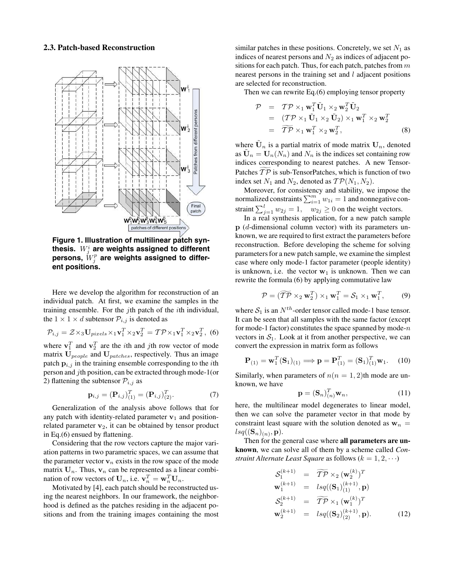#### **2.3. Patch-based Reconstruction**



**Figure 1. Illustration of multilinear patch synthesis.** W<sup>i</sup> <sup>j</sup> **are weights assigned to different**  $\mathbf{p}$ ersons,  $W_j^p$  are weights assigned to differ**ent positions.**

Here we develop the algorithm for reconstruction of an individual patch. At first, we examine the samples in the training ensemble. For the  $j$ th patch of the *i*th individual, the  $1 \times 1 \times d$  subtensor  $P_{i,j}$  is denoted as

$$
\mathcal{P}_{i,j} = \mathcal{Z} \times_3 \mathbf{U}_{pixels} \times_1 \mathbf{v}_1^T \times_2 \mathbf{v}_2^T = \mathcal{TP} \times_1 \mathbf{v}_1^T \times_2 \mathbf{v}_2^T, \tag{6}
$$

where  $\mathbf{v}_1^T$  and  $\mathbf{v}_2^T$  are the *i*th and *j*th row vector of mode matrix  $U_{people}$  and  $U_{patches}$ , respectively. Thus an image patch  $\mathbf{p}_{i,j}$  in the training ensemble corresponding to the *i*th person and jth position, can be extracted through mode-1(or 2) flattening the subtensor  $P_{i,j}$  as

$$
\mathbf{p}_{i,j} = (\mathbf{P}_{i,j})_{(1)}^T = (\mathbf{P}_{i,j})_{(2)}^T.
$$
 (7)

Generalization of the analysis above follows that for any patch with identity-related parameter  $v_1$  and positionrelated parameter  $v_2$ , it can be obtained by tensor product in Eq.(6) ensued by flattening.

Considering that the row vectors capture the major variation patterns in two parametric spaces, we can assume that the parameter vector  $v_n$  exists in the row space of the mode matrix  $U_n$ . Thus,  $v_n$  can be represented as a linear combination of row vectors of  $\mathbf{U}_n$ , i.e.  $\mathbf{v}_n^T = \mathbf{w}_n^T \mathbf{U}_n$ .<br>Motivated by [4], each patch should be recon

Motivated by [4], each patch should be reconstructed using the nearest neighbors. In our framework, the neighborhood is defined as the patches residing in the adjacent positions and from the training images containing the most

similar patches in these positions. Concretely, we set  $N_1$  as indices of nearest persons and  $N_2$  as indices of adjacent positions for each patch. Thus, for each patch, patches from  $m$ nearest persons in the training set and  $l$  adjacent positions are selected for reconstruction.

Then we can rewrite Eq.(6) employing tensor property

$$
\mathcal{P} = T\mathcal{P} \times_1 \mathbf{w}_1^T \tilde{\mathbf{U}}_1 \times_2 \mathbf{w}_2^T \tilde{\mathbf{U}}_2 \n= (T\mathcal{P} \times_1 \tilde{\mathbf{U}}_1 \times_2 \tilde{\mathbf{U}}_2) \times_1 \mathbf{w}_1^T \times_2 \mathbf{w}_2^T \n= \widetilde{T}\mathcal{P} \times_1 \mathbf{w}_1^T \times_2 \mathbf{w}_2^T,
$$
\n(8)

where  $U_n$  is a partial matrix of mode matrix  $U_n$ , denoted as  $U_n = U_n(N_n)$  and  $N_n$  is the indices set containing row indices corresponding to nearest patches. A new Tensor-Patches  $TP$  is sub-TensorPatches, which is function of two index set  $N_1$  and  $N_2$ , denoted as  $\mathcal{TP}(N_1, N_2)$ .

Moreover, for consistency and stability, we impose the normalized constraints  $\sum_{i=1}^{m} w_{1i} = 1$  and nonnegative con-<br>traint  $\sum_{i=1}^{l} w_{1i} = 0$  on the weight vectors straint  $\sum_{j=1}^{l} w_{2j} = 1$ ,  $w_{2j} \ge 0$  on the weight vectors.<br>In a real synthesis application, for a new natch same

In a real synthesis application, for a new patch sample **p** (d-dimensional column vector) with its parameters unknown, we are required to first extract the parameters before reconstruction. Before developing the scheme for solving parameters for a new patch sample, we examine the simplest case where only mode-1 factor parameter (people identity) is unknown, i.e. the vector  $w_1$  is unknown. Then we can rewrite the formula (6) by applying commutative law

$$
\mathcal{P} = (\widetilde{\mathcal{TP}} \times_2 \mathbf{w}_2^T) \times_1 \mathbf{w}_1^T = \mathcal{S}_1 \times_1 \mathbf{w}_1^T, \qquad (9)
$$

where  $S_1$  is an  $N^{th}$ -order tensor called mode-1 base tensor. It can be seen that all samples with the same factor (except for mode-1 factor) constitutes the space spanned by mode- $n$ vectors in  $S_1$ . Look at it from another perspective, we can convert the expression in matrix form as follows

$$
\mathbf{P}_{(1)} = \mathbf{w}_1^T (\mathbf{S}_1)_{(1)} \Longrightarrow \mathbf{p} = \mathbf{P}_{(1)}^T = (\mathbf{S}_1)_{(1)}^T \mathbf{w}_1. \tag{10}
$$

Similarly, when parameters of  $n(n = 1, 2)$ th mode are unknown, we have

$$
\mathbf{p} = (\mathbf{S}_n)_{(n)}^T \mathbf{w}_n, \tag{11}
$$

here, the multilinear model degenerates to linear model, then we can solve the parameter vector in that mode by constraint least square with the solution denoted as  $w_n =$  $lsq((\mathbf{S}_n)_{(n)}, \mathbf{p}).$ 

Then for the general case where **all parameters are unknown**, we can solve all of them by a scheme called *Constraint Alternate Least Square* as follows  $(k = 1, 2, \cdots)$ 

$$
S_1^{(k+1)} = \widetilde{TP} \times_2 (\mathbf{w}_2^{(k)})^T
$$
  
\n
$$
\mathbf{w}_1^{(k+1)} = lsq((\mathbf{S}_1)_{(1)}^{(k+1)}, \mathbf{p})
$$
  
\n
$$
S_2^{(k+1)} = \widetilde{TP} \times_1 (\mathbf{w}_1^{(k)})^T
$$
  
\n
$$
\mathbf{w}_2^{(k+1)} = lsq((\mathbf{S}_2)_{(2)}^{(k+1)}, \mathbf{p}).
$$
\n(12)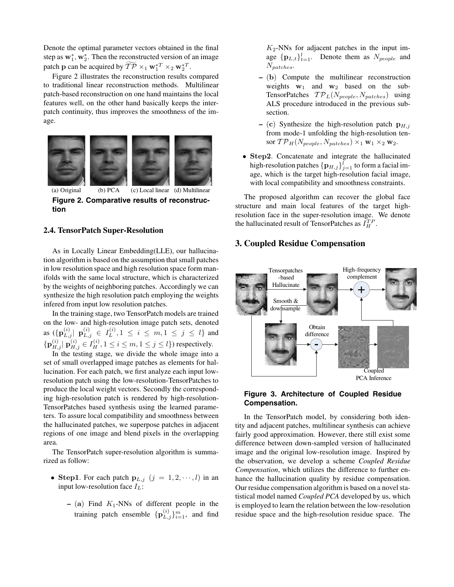Denote the optimal parameter vectors obtained in the final step as  $w_1^*$ ,  $w_2^*$ . Then the reconstructed version of an image patch **p** can be acquired by  $\widetilde{\mathcal{TP}} \times_1 \mathbf{w}_1^{*T} \times_2 \mathbf{w}_2^{*T}$ .

Figure 2 illustrates the reconstruction results compared to traditional linear reconstruction methods. Multilinear patch-based reconstruction on one hand maintains the local features well, on the other hand basically keeps the interpatch continuity, thus improves the smoothness of the image.



(a) Original (b)  $PCA$  (c) Local linear (d) Multilinear **Figure 2. Comparative results of reconstruction**

#### **2.4. TensorPatch Super-Resolution**

As in Locally Linear Embedding(LLE), our hallucination algorithm is based on the assumption that small patches in low resolution space and high resolution space form manifolds with the same local structure, which is characterized by the weights of neighboring patches. Accordingly we can synthesize the high resolution patch employing the weights infered from input low resolution patches.

In the training stage, two TensorPatch models are trained on the low- and high-resolution image patch sets, denoted as  $({\bf p}_{L,j}^{(i)} | {\bf p}_{L,j}^{(i)} \in I_L^{(i)}, 1 \le i \le m, 1 \le j \le l$  and  ${\bf p}_{H,j}^{(i)} | \tilde{\bf p}_{H,j}^{(i)} \in I_H^{(i)}, 1 \le i \le m, 1 \le j \le l$ ) respectively.

In the testing stage, we divide the whole image into a set of small overlapped image patches as elements for hallucination. For each patch, we first analyze each input lowresolution patch using the low-resolution-TensorPatches to produce the local weight vectors. Secondly the corresponding high-resolution patch is rendered by high-resolution-TensorPatches based synthesis using the learned parameters. To assure local compatibility and smoothness between the hallucinated patches, we superpose patches in adjacent regions of one image and blend pixels in the overlapping area.

The TensorPatch super-resolution algorithm is summarized as follow:

- **Step1**. For each patch  $\mathbf{p}_{L,j}$   $(j = 1, 2, \dots, l)$  in an input low-resolution face  $I_L$ :
	- **–** (**a**) Find <sup>K</sup>1-NNs of different people in the training patch ensemble  $\{ {\bf p}_{L,j}^{(i)} \}_{i=1}^m$ , and find

 $K_2$ -NNs for adjacent patches in the input image  ${\bf p}_{L,t}$ <sub> $t=1$ </sub>. Denote them as  $N_{people}$  and  $N_{patches}$ .

- **–** (**b**) Compute the multilinear reconstruction weights  $w_1$  and  $w_2$  based on the sub-TensorPatches  $\mathcal{TP}_L(N_{people}, N_{patches})$  using ALS procedure introduced in the previous subsection.
- $-$  (**c**) Synthesize the high-resolution patch  $p_{H,j}$ from mode-1 unfolding the high-resolution tensor  $TP_H(N_{people}, N_{patches}) \times_1 \mathbf{w}_1 \times_2 \mathbf{w}_2$ .
- **Step2**. Concatenate and integrate the hallucinated high-resolution patches  ${\{\mathbf p_{H,j}\}}_{j=1}^l$  to form a facial image, which is the target high-resolution facial image, with local compatibility and smoothness constraints.

The proposed algorithm can recover the global face structure and main local features of the target highresolution face in the super-resolution image. We denote the hallucinated result of TensorPatches as  $\tilde{I}_H^{TP}$ .

# **3. Coupled Residue Compensation**



## **Figure 3. Architecture of Coupled Residue Compensation.**

In the TensorPatch model, by considering both identity and adjacent patches, multilinear synthesis can achieve fairly good approximation. However, there still exist some difference between down-sampled version of hallucinated image and the original low-resolution image. Inspired by the observation, we develop a scheme *Coupled Residue Compensation*, which utilizes the difference to further enhance the hallucination quality by residue compensation. Our residue compensation algorithm is based on a novel statistical model named *Coupled PCA* developed by us, which is employed to learn the relation between the low-resolution residue space and the high-resolution residue space. The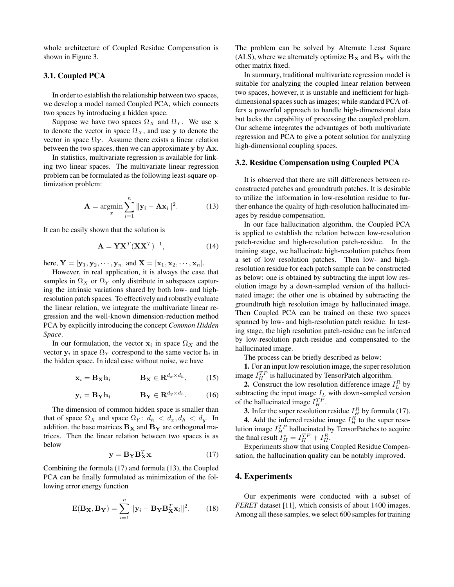whole architecture of Coupled Residue Compensation is shown in Figure 3.

## **3.1. Coupled PCA**

In order to establish the relationship between two spaces, we develop a model named Coupled PCA, which connects two spaces by introducing a hidden space.

Suppose we have two spaces  $\Omega_X$  and  $\Omega_Y$ . We use **x** to denote the vector in space  $\Omega_X$ , and use y to denote the vector in space  $\Omega_Y$ . Assume there exists a linear relation between the two spaces, then we can approximate **y** by **Ax**.

In statistics, multivariate regression is available for linking two linear spaces. The multivariate linear regression problem can be formulated as the following least-square optimization problem:

$$
\mathbf{A} = \operatorname*{argmin}_{x} \sum_{i=1}^{n} \|\mathbf{y}_i - \mathbf{A}\mathbf{x}_i\|^2.
$$
 (13)

It can be easily shown that the solution is

$$
\mathbf{A} = \mathbf{Y} \mathbf{X}^T (\mathbf{X} \mathbf{X}^T)^{-1}, \tag{14}
$$

here,  $\mathbf{Y} = [\mathbf{y}_1, \mathbf{y}_2, \cdots, \mathbf{y}_n]$  and  $\mathbf{X} = [\mathbf{x}_1, \mathbf{x}_2, \cdots, \mathbf{x}_n].$ 

However, in real application, it is always the case that samples in  $\Omega_X$  or  $\Omega_Y$  only distribute in subspaces capturing the intrinsic variations shared by both low- and highresolution patch spaces. To effectively and robustly evaluate the linear relation, we integrate the multivariate linear regression and the well-known dimension-reduction method PCA by explicitly introducing the concept *Common Hidden Space*.

In our formulation, the vector  $x_i$  in space  $\Omega_X$  and the vector  $y_i$  in space  $\Omega_Y$  correspond to the same vector  $h_i$  in the hidden space. In ideal case without noise, we have

$$
\mathbf{x}_i = \mathbf{B}_{\mathbf{X}} \mathbf{h_i} \qquad \qquad \mathbf{B}_{\mathbf{X}} \in \mathbf{R}^{d_x \times d_h}, \qquad (15)
$$

$$
\mathbf{y}_i = \mathbf{B_Y} \mathbf{h_i} \qquad \mathbf{B_Y} \in \mathbf{R}^{d_y \times d_h}.
$$
 (16)

The dimension of common hidden space is smaller than that of space  $\Omega_X$  and space  $\Omega_Y$ :  $d_h < d_x, d_h < d_y$ . In addition, the base matrices  $B_X$  and  $B_Y$  are orthogonal matrices. Then the linear relation between two spaces is as below

$$
\mathbf{y} = \mathbf{B}_{\mathbf{Y}} \mathbf{B}_{\mathbf{X}}^T \mathbf{x}.
$$
 (17)

Combining the formula (17) and formula (13), the Coupled PCA can be finally formulated as minimization of the following error energy function

$$
E(\mathbf{B_X}, \mathbf{B_Y}) = \sum_{i=1}^{n} ||\mathbf{y}_i - \mathbf{B_Y}\mathbf{B_X}^T\mathbf{x}_i||^2.
$$
 (18)

The problem can be solved by Alternate Least Square (ALS), where we alternately optimize  $B_X$  and  $B_Y$  with the other matrix fixed.

In summary, traditional multivariate regression model is suitable for analyzing the coupled linear relation between two spaces, however, it is unstable and inefficient for highdimensional spaces such as images; while standard PCA offers a powerful approach to handle high-dimensional data but lacks the capability of processing the coupled problem. Our scheme integrates the advantages of both multivariate regression and PCA to give a potent solution for analyzing high-dimensional coupling spaces.

## **3.2. Residue Compensation using Coupled PCA**

It is observed that there are still differences between reconstructed patches and groundtruth patches. It is desirable to utilize the information in low-resolution residue to further enhance the quality of high-resolution hallucinated images by residue compensation.

In our face hallucination algorithm, the Coupled PCA is applied to establish the relation between low-resolution patch-residue and high-resolution patch-residue. In the training stage, we hallucinate high-resolution patches from a set of low resolution patches. Then low- and highresolution residue for each patch sample can be constructed as below: one is obtained by subtracting the input low resolution image by a down-sampled version of the hallucinated image; the other one is obtained by subtracting the groundtruth high resolution image by hallucinated image. Then Coupled PCA can be trained on these two spaces spanned by low- and high-resolution patch residue. In testing stage, the high resolution patch-residue can be inferred by low-resolution patch-residue and compensated to the hallucinated image.

The process can be briefly described as below:

**1.** For an input low resolution image, the super resolution image  $I_H^{TP}$  is hallucinated by TensorPatch algorithm.

**2.** Construct the low resolution difference image  $I_L^R$  by subtracting the input image  $I_L$  with down-sampled version of the hallucinated image  $I_H^{TP}$ .

**3.** Infer the super resolution residue  $I_H^R$  by formula (17).

**4.** Add the inferred residue image  $I_H^{\vec{R}}$  to the super resolution image  $I_H^{TP}$  hallucinated by TensorPatches to acquire the final result  $I_H^* = I_H^{TP} + I_H^R$ .<br>Experiments show that using

Experiments show that using Coupled Residue Compensation, the hallucination quality can be notably improved.

## **4. Experiments**

Our experiments were conducted with a subset of *FERET* dataset [11], which consists of about 1400 images. Among all these samples, we select 600 samples for training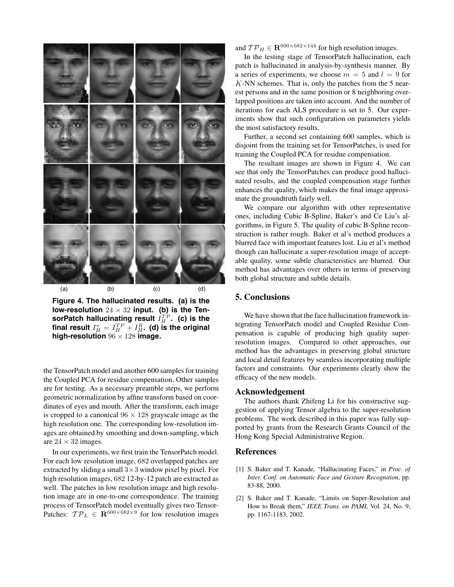

**Figure 4. The hallucinated results. (a) is the** low-resolution  $24 \times 32$  input. (b) is the TensorPatch hallucinating result  $\widehat{I^{TP}_H}.$  (c) is the final result  $I_H^* = I_H^{TP} + I_H^R$ . (d) is the original<br>high-resolution <sup>06</sup>  $\times$  <sup>198</sup> image **high-resolution**  $96 \times 128$  **image.** 

the TensorPatch model and another 600 samples for training the Coupled PCA for residue compensation. Other samples are for testing. As a necessary preamble steps, we perform geometric normalization by affine transform based on coordinates of eyes and mouth. After the transform, each image is cropped to a canonical  $96 \times 128$  grayscale image as the high resolution one. The corresponding low-resolution images are obtained by smoothing and down-sampling, which are  $24 \times 32$  images.

In our experiments, we first train the TensorPatch model. For each low resolution image, 682 overlapped patches are extracted by sliding a small  $3\times 3$  window pixel by pixel. For high resolution images,  $682$  12-by-12 patch are extracted as well. The patches in low resolution image and high resolution image are in one-to-one correspondence. The training process of TensorPatch model eventually gives two Tensor-Patches:  $\mathcal{TP}_L \in \mathbb{R}^{600 \times 682 \times 9}$  for low resolution images

and  $\mathcal{TP}_H \in \mathbf{R}^{600 \times 682 \times 144}$  for high resolution images.

In the testing stage of TensorPatch hallucination, each patch is hallucinated in analysis-by-synthesis manner. By a series of experiments, we choose  $m = 5$  and  $l = 9$  for  $K-NN$  schemes. That is, only the patches from the 5 nearest persons and in the same position or 8 neighboring overlapped positions are taken into account. And the number of iterations for each ALS procedure is set to 5. Our experiments show that such configuration on parameters yields the most satisfactory results.

Further, a second set containing 600 samples, which is disjoint from the training set for TensorPatches, is used for training the Coupled PCA for residue compensation.

The resultant images are shown in Figure 4. We can see that only the TensorPatches can produce good hallucinated results, and the coupled compensation stage further enhances the quality, which makes the final image approximate the groundtruth fairly well.

We compare our algorithm with other representative ones, including Cubic B-Spline, Baker's and Ce Liu's algorithms, in Figure 5. The quality of cubic B-Spline reconstruction is rather rough. Baker et al's method produces a blurred face with important features lost. Liu et al's method though can hallucinate a super-resolution image of acceptable quality, some subtle characteristics are blurred. Our method has advantages over others in terms of preserving both global structure and subtle details.

# **5. Conclusions**

We have shown that the face hallucination framework integrating TensorPatch model and Coupled Residue Compensation is capable of producing high quality superresolution images. Compared to other approaches, our method has the advantages in preserving global structure and local detail features by seamless incorporating multiple factors and constraints. Our experiments clearly show the efficacy of the new models.

## **Acknowledgement**

The authors thank Zhifeng Li for his constructive suggestion of applying Tensor algebra to the super-resolution problems. The work described in this paper was fully supported by grants from the Research Grants Council of the Hong Kong Special Administrative Region.

# **References**

- [1] S. Baker and T. Kanade, "Hallucinating Faces," in *Proc. of Inter. Conf. on Automatic Face and Gesture Recognition*, pp. 83-88, 2000.
- [2] S. Baker and T. Kanade, "Limits on Super-Resolution and How to Break them," *IEEE Trans. on PAMI*, Vol. 24, No. 9, pp. 1167-1183, 2002.